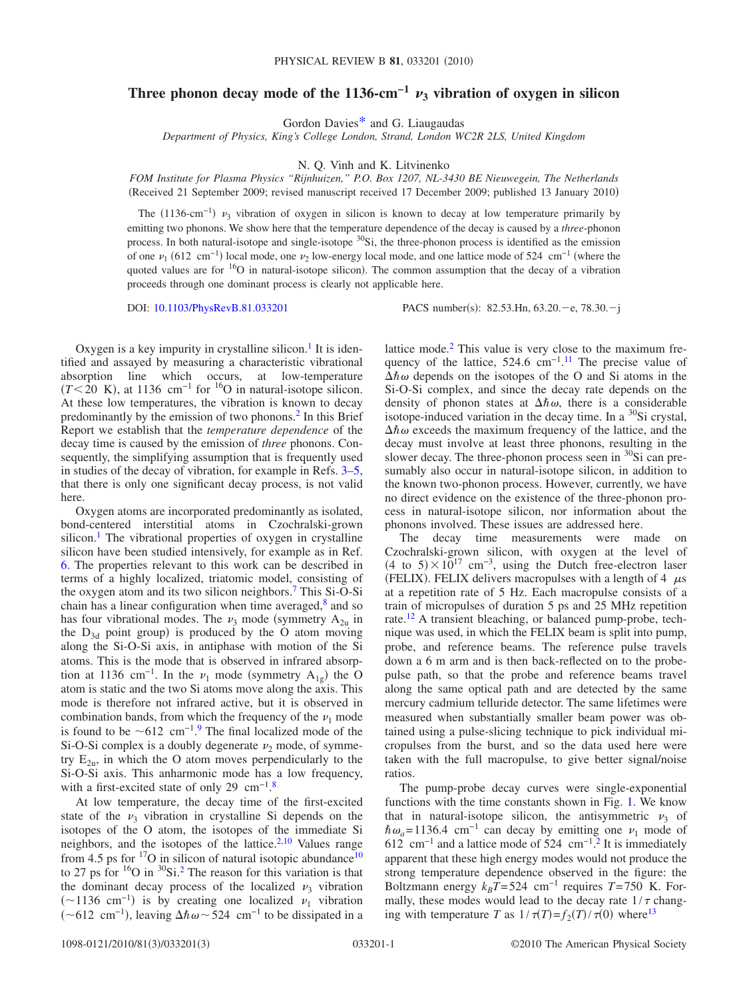## Three phonon decay mode of the 1136-cm<sup>-1</sup>  $\nu_3$  vibration of oxygen in silicon

Gordon Davie[s\\*](#page-2-0) and G. Liaugaudas

*Department of Physics, King's College London, Strand, London WC2R 2LS, United Kingdom*

N. Q. Vinh and K. Litvinenko

*FOM Institute for Plasma Physics "Rijnhuizen," P.O. Box 1207, NL-3430 BE Nieuwegein, The Netherlands* Received 21 September 2009; revised manuscript received 17 December 2009; published 13 January 2010-

The  $(1136-cm<sup>-1</sup>)$   $\nu_3$  vibration of oxygen in silicon is known to decay at low temperature primarily by emitting two phonons. We show here that the temperature dependence of the decay is caused by a *three*-phonon process. In both natural-isotope and single-isotope <sup>30</sup>Si, the three-phonon process is identified as the emission of one  $\nu_1$  (612 cm<sup>-1</sup>) local mode, one  $\nu_2$  low-energy local mode, and one lattice mode of 524 cm<sup>-1</sup> (where the quoted values are for  $16$ O in natural-isotope silicon). The common assumption that the decay of a vibration proceeds through one dominant process is clearly not applicable here.

DOI: [10.1103/PhysRevB.81.033201](http://dx.doi.org/10.1103/PhysRevB.81.033201)

: 82.53.Hn, 63.20. – e, 78.30. – j

Oxygen is a key impurity in crystalline silicon.<sup>1</sup> It is identified and assayed by measuring a characteristic vibrational absorption line which occurs, at low-temperature  $(T \leq 20 \text{ K})$ , at 1136 cm<sup>-1</sup> for <sup>16</sup>O in natural-isotope silicon. At these low temperatures, the vibration is known to decay predominantly by the emission of two phonons[.2](#page-2-2) In this Brief Report we establish that the *temperature dependence* of the decay time is caused by the emission of *three* phonons. Consequently, the simplifying assumption that is frequently used in studies of the decay of vibration, for example in Refs. [3](#page-2-3)[–5,](#page-2-4) that there is only one significant decay process, is not valid here.

Oxygen atoms are incorporated predominantly as isolated, bond-centered interstitial atoms in Czochralski-grown silicon.<sup>1</sup> The vibrational properties of oxygen in crystalline silicon have been studied intensively, for example as in Ref. [6.](#page-2-5) The properties relevant to this work can be described in terms of a highly localized, triatomic model, consisting of the oxygen atom and its two silicon neighbors[.7](#page-2-6) This Si-O-Si chain has a linear configuration when time averaged, $8$  and so has four vibrational modes. The  $\nu_3$  mode (symmetry  $A_{2u}$  in the  $D_{3d}$  point group) is produced by the O atom moving along the Si-O-Si axis, in antiphase with motion of the Si atoms. This is the mode that is observed in infrared absorption at 1136 cm<sup>-1</sup>. In the  $\nu_1$  mode (symmetry A<sub>1g</sub>) the O atom is static and the two Si atoms move along the axis. This mode is therefore not infrared active, but it is observed in combination bands, from which the frequency of the  $\nu_1$  mode is found to be  $\sim 612$  cm<sup>-1</sup>.<sup>[9](#page-2-8)</sup> The final localized mode of the Si-O-Si complex is a doubly degenerate  $\nu_2$  mode, of symmetry  $E_{2u}$ , in which the O atom moves perpendicularly to the Si-O-Si axis. This anharmonic mode has a low frequency, with a first-excited state of only 29  $cm^{-1}$ .<sup>[8](#page-2-7)</sup>

At low temperature, the decay time of the first-excited state of the  $\nu_3$  vibration in crystalline Si depends on the isotopes of the O atom, the isotopes of the immediate Si neighbors, and the isotopes of the lattice. $2,10$  $2,10$  Values range from 4.5 ps for  $^{17}$ O in silicon of natural isotopic abundance $^{10}$ to 27 ps for  $16$ O in  $30$ Si.<sup>2</sup> The reason for this variation is that the dominant decay process of the localized  $\nu_3$  vibration  $(\sim 1136 \text{ cm}^{-1})$  is by creating one localized  $\nu_1$  vibration  $(\sim 612 \text{ cm}^{-1})$ , leaving  $\Delta \hbar \omega$  ~ 524 cm<sup>-1</sup> to be dissipated in a

lattice mode.<sup>2</sup> This value is very close to the maximum frequency of the lattice,  $524.6 \text{ cm}^{-1}$ .<sup>[11](#page-2-10)</sup> The precise value of  $\Delta \hbar \omega$  depends on the isotopes of the O and Si atoms in the Si-O-Si complex, and since the decay rate depends on the density of phonon states at  $\Delta \hbar \omega$ , there is a considerable isotope-induced variation in the decay time. In a  $^{30}$ Si crystal,  $\Delta \hbar \omega$  exceeds the maximum frequency of the lattice, and the decay must involve at least three phonons, resulting in the slower decay. The three-phonon process seen in  ${}^{30}Si$  can presumably also occur in natural-isotope silicon, in addition to the known two-phonon process. However, currently, we have no direct evidence on the existence of the three-phonon process in natural-isotope silicon, nor information about the phonons involved. These issues are addressed here.

The decay time measurements were made on Czochralski-grown silicon, with oxygen at the level of  $(4 \text{ to } 5) \times 10^{17} \text{ cm}^{-3}$ , using the Dutch free-electron laser (FELIX). FELIX delivers macropulses with a length of 4  $\mu$ s at a repetition rate of 5 Hz. Each macropulse consists of a train of micropulses of duration 5 ps and 25 MHz repetition rate.<sup>12</sup> A transient bleaching, or balanced pump-probe, technique was used, in which the FELIX beam is split into pump, probe, and reference beams. The reference pulse travels down a 6 m arm and is then back-reflected on to the probepulse path, so that the probe and reference beams travel along the same optical path and are detected by the same mercury cadmium telluride detector. The same lifetimes were measured when substantially smaller beam power was obtained using a pulse-slicing technique to pick individual micropulses from the burst, and so the data used here were taken with the full macropulse, to give better signal/noise ratios.

The pump-probe decay curves were single-exponential functions with the time constants shown in Fig. [1.](#page-1-0) We know that in natural-isotope silicon, the antisymmetric  $\nu_3$  of  $\hbar \omega_a$ =1136.4 cm<sup>-1</sup> can decay by emitting one  $\nu_1$  mode of 61[2](#page-2-2) cm<sup>-1</sup> and a lattice mode of 524 cm<sup>-1</sup>.<sup>2</sup> It is immediately apparent that these high energy modes would not produce the strong temperature dependence observed in the figure: the Boltzmann energy  $k_B T$ =524 cm<sup>-1</sup> requires  $T$ =750 K. Formally, these modes would lead to the decay rate  $1/\tau$  changing with temperature *T* as  $1/\tau(T) = f_2(T)/\tau(0)$  where<sup>13</sup>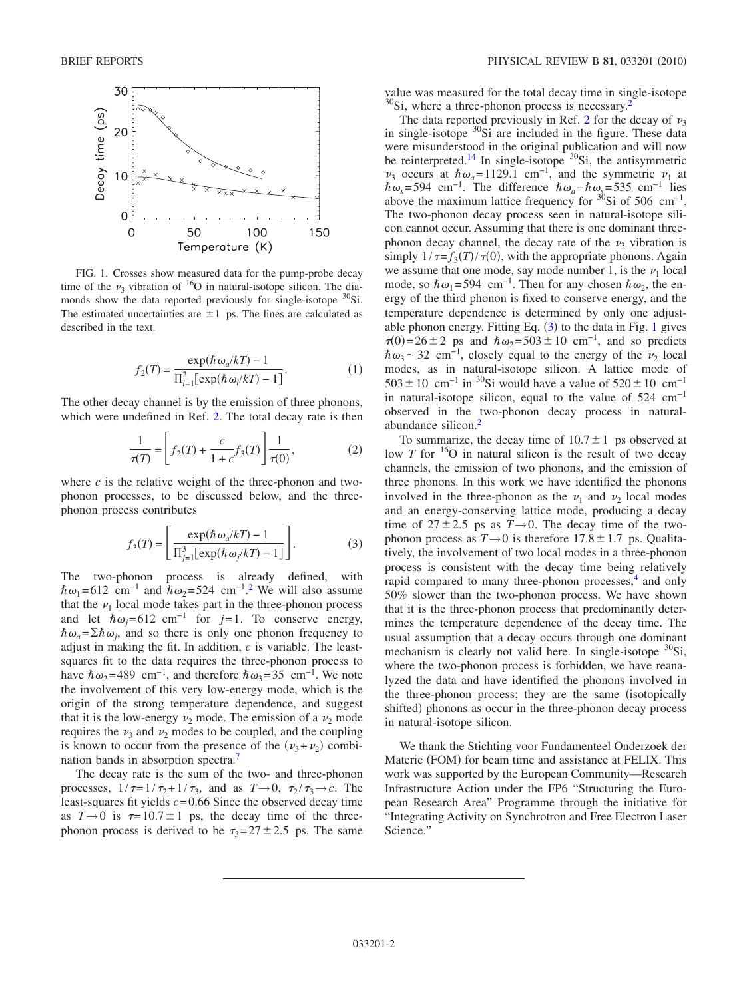<span id="page-1-0"></span>

FIG. 1. Crosses show measured data for the pump-probe decay time of the  $\nu_3$  vibration of <sup>16</sup>O in natural-isotope silicon. The diamonds show the data reported previously for single-isotope  $^{30}Si$ . The estimated uncertainties are  $\pm 1$  ps. The lines are calculated as described in the text.

$$
f_2(T) = \frac{\exp(\hbar \omega_a/kT) - 1}{\prod_{i=1}^2 [\exp(\hbar \omega_i/kT) - 1]}.
$$
 (1)

The other decay channel is by the emission of three phonons, which were undefined in Ref. [2.](#page-2-2) The total decay rate is then

$$
\frac{1}{\tau(T)} = \left[ f_2(T) + \frac{c}{1+c} f_3(T) \right] \frac{1}{\tau(0)},
$$
 (2)

where  $c$  is the relative weight of the three-phonon and twophonon processes, to be discussed below, and the threephonon process contributes

$$
f_3(T) = \left[ \frac{\exp(\hbar \omega_a/kT) - 1}{\prod_{j=1}^3 [\exp(\hbar \omega_j/kT) - 1]} \right].
$$
 (3)

<span id="page-1-1"></span>The two-phonon process is already defined, with  $\hbar \omega_1$ =61[2](#page-2-2) cm<sup>-1</sup> and  $\hbar \omega_2$ =524 cm<sup>-1</sup>.<sup>2</sup> We will also assume that the  $\nu_1$  local mode takes part in the three-phonon process and let  $\hat{h}\omega_j=612$  cm<sup>-1</sup> for *j*=1. To conserve energy,  $\hbar \omega_a = \sum \hbar \omega_i$ , and so there is only one phonon frequency to adjust in making the fit. In addition, *c* is variable. The leastsquares fit to the data requires the three-phonon process to have  $\hbar \omega_2$ =489 cm<sup>-1</sup>, and therefore  $\hbar \omega_3$ =35 cm<sup>-1</sup>. We note the involvement of this very low-energy mode, which is the origin of the strong temperature dependence, and suggest that it is the low-energy  $\nu_2$  mode. The emission of a  $\nu_2$  mode requires the  $\nu_3$  and  $\nu_2$  modes to be coupled, and the coupling is known to occur from the presence of the  $(\nu_3 + \nu_2)$  combination bands in absorption spectra[.7](#page-2-6)

The decay rate is the sum of the two- and three-phonon processes,  $1/\tau=1/\tau_2+1/\tau_3$ , and as  $T\rightarrow 0$ ,  $\tau_2/\tau_3\rightarrow c$ . The least-squares fit yields *c*=0.66 Since the observed decay time as  $T \rightarrow 0$  is  $\tau = 10.7 \pm 1$  ps, the decay time of the threephonon process is derived to be  $\tau_3 = 27 \pm 2.5$  ps. The same

value was measured for the total decay time in single-isotope  $30$ Si, where a three-phonon process is necessary.<sup>2</sup>

The data reported previously in Ref. [2](#page-2-2) for the decay of  $\nu_3$ in single-isotope  ${}^{30}$ Si are included in the figure. These data were misunderstood in the original publication and will now be reinterpreted.<sup>14</sup> In single-isotope <sup>30</sup>Si, the antisymmetric  $\nu_3$  occurs at  $\hbar \omega_a = 1129.1$  cm<sup>-1</sup>, and the symmetric  $\nu_1$  at  $\hbar \omega_s$ =594 cm<sup>-1</sup>. The difference  $\hbar \omega_a - \hbar \omega_s$ =535 cm<sup>-1</sup> lies above the maximum lattice frequency for  $30\text{Si}$  of 506 cm<sup>-1</sup>. The two-phonon decay process seen in natural-isotope silicon cannot occur. Assuming that there is one dominant threephonon decay channel, the decay rate of the  $\nu_3$  vibration is simply  $1/\tau = f_3(T)/\tau(0)$ , with the appropriate phonons. Again we assume that one mode, say mode number 1, is the  $\nu_1$  local mode, so  $\hbar \omega_1$ =594 cm<sup>-1</sup>. Then for any chosen  $\hbar \omega_2$ , the energy of the third phonon is fixed to conserve energy, and the temperature dependence is determined by only one adjustable phonon energy. Fitting Eq.  $(3)$  $(3)$  $(3)$  to the data in Fig. [1](#page-1-0) gives  $\tau(0)=26\pm 2$  ps and  $\hbar \omega_2=503\pm 10$  cm<sup>-1</sup>, and so predicts  $\hbar \omega_3$  ~ 32 cm<sup>-1</sup>, closely equal to the energy of the  $\nu_2$  local modes, as in natural-isotope silicon. A lattice mode of  $503 \pm 10$  cm<sup>-1</sup> in <sup>30</sup>Si would have a value of  $520 \pm 10$  cm<sup>-1</sup> in natural-isotope silicon, equal to the value of 524 cm−1 observed in the two-phonon decay process in naturalabundance silicon[.2](#page-2-2)

To summarize, the decay time of  $10.7 \pm 1$  ps observed at low  $T$  for  $16$ O in natural silicon is the result of two decay channels, the emission of two phonons, and the emission of three phonons. In this work we have identified the phonons involved in the three-phonon as the  $\nu_1$  and  $\nu_2$  local modes and an energy-conserving lattice mode, producing a decay time of  $27 \pm 2.5$  ps as  $T \rightarrow 0$ . The decay time of the twophonon process as  $T \rightarrow 0$  is therefore  $17.8 \pm 1.7$  ps. Qualitatively, the involvement of two local modes in a three-phonon process is consistent with the decay time being relatively rapid compared to many three-phonon processes,<sup>4</sup> and only 50% slower than the two-phonon process. We have shown that it is the three-phonon process that predominantly determines the temperature dependence of the decay time. The usual assumption that a decay occurs through one dominant mechanism is clearly not valid here. In single-isotope  ${}^{30}Si$ , where the two-phonon process is forbidden, we have reanalyzed the data and have identified the phonons involved in the three-phonon process; they are the same (isotopically shifted) phonons as occur in the three-phonon decay process in natural-isotope silicon.

We thank the Stichting voor Fundamenteel Onderzoek der Materie (FOM) for beam time and assistance at FELIX. This work was supported by the European Community—Research Infrastructure Action under the FP6 "Structuring the European Research Area" Programme through the initiative for "Integrating Activity on Synchrotron and Free Electron Laser Science."